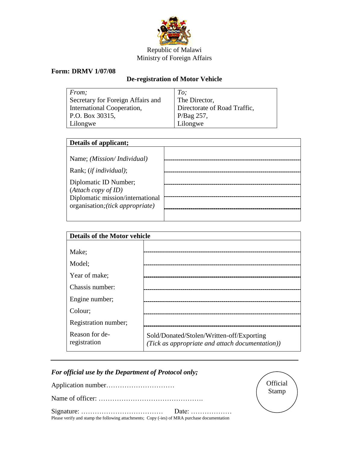

## Republic of Malawi Ministry of Foreign Affairs

## **Form: DRMV 1/07/08**

## **De-registration of Motor Vehicle**

| From;                             | To;                                                                         |
|-----------------------------------|-----------------------------------------------------------------------------|
| Secretary for Foreign Affairs and | The Director,                                                               |
| International Cooperation,        | Directorate of Road Traffic,                                                |
| P.O. Box 30315,                   |                                                                             |
| Lilongwe                          | $\left  \begin{array}{c} P/Bag 257, \\ \text{Lilongwe} \end{array} \right $ |

| Details of applicant;                                                |  |  |
|----------------------------------------------------------------------|--|--|
| Name; (Mission/Individual)<br>Rank; ( <i>if individual</i> );        |  |  |
| Diplomatic ID Number;<br>(Attach copy of ID)                         |  |  |
| Diplomatic mission/international<br>organisation; (tick appropriate) |  |  |

| <b>Details of the Motor vehicle</b> |                                                                                              |  |
|-------------------------------------|----------------------------------------------------------------------------------------------|--|
|                                     |                                                                                              |  |
| Make;                               |                                                                                              |  |
| Model;                              |                                                                                              |  |
| Year of make;                       | -----------------------------                                                                |  |
| Chassis number:                     |                                                                                              |  |
| Engine number;                      |                                                                                              |  |
| Colour;                             |                                                                                              |  |
| Registration number;                |                                                                                              |  |
| Reason for de-<br>registration      | Sold/Donated/Stolen/Written-off/Exporting<br>(Tick as appropriate and attach documentation)) |  |

## *For official use by the Department of Protocol only;*

Application number…………………………

Name of officer: ……………………………………….

Signature: ……………………………… Date: ……………… Please verify and stamp the following attachments; Copy (-ies) of MRA purchase documentation